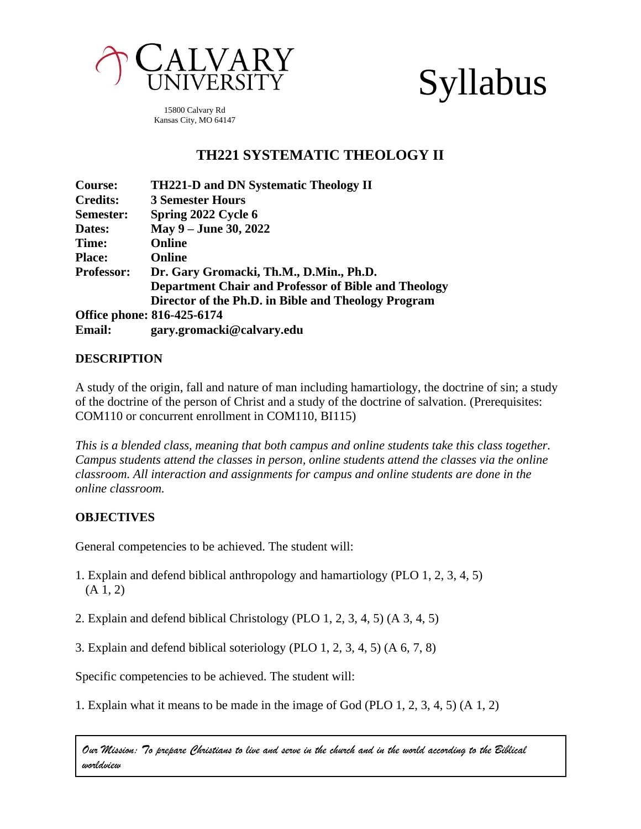

# Syllabus

15800 Calvary Rd Kansas City, MO 64147

# **TH221 SYSTEMATIC THEOLOGY II**

| <b>Course:</b>    | <b>TH221-D and DN Systematic Theology II</b>         |
|-------------------|------------------------------------------------------|
| <b>Credits:</b>   | <b>3 Semester Hours</b>                              |
| Semester:         | Spring 2022 Cycle 6                                  |
| Dates:            | May 9 – June 30, 2022                                |
| Time:             | <b>Online</b>                                        |
| <b>Place:</b>     | <b>Online</b>                                        |
| <b>Professor:</b> | Dr. Gary Gromacki, Th.M., D.Min., Ph.D.              |
|                   | Department Chair and Professor of Bible and Theology |
|                   | Director of the Ph.D. in Bible and Theology Program  |
|                   | Office phone: 816-425-6174                           |
| <b>Email:</b>     | gary.gromacki@calvary.edu                            |

#### **DESCRIPTION**

A study of the origin, fall and nature of man including hamartiology, the doctrine of sin; a study of the doctrine of the person of Christ and a study of the doctrine of salvation. (Prerequisites: COM110 or concurrent enrollment in COM110, BI115)

*This is a blended class, meaning that both campus and online students take this class together. Campus students attend the classes in person, online students attend the classes via the online classroom. All interaction and assignments for campus and online students are done in the online classroom.*

# **OBJECTIVES**

General competencies to be achieved. The student will:

- 1. Explain and defend biblical anthropology and hamartiology (PLO 1, 2, 3, 4, 5)  $(A 1, 2)$
- 2. Explain and defend biblical Christology (PLO 1, 2, 3, 4, 5) (A 3, 4, 5)
- 3. Explain and defend biblical soteriology (PLO 1, 2, 3, 4, 5) (A 6, 7, 8)

Specific competencies to be achieved. The student will:

1. Explain what it means to be made in the image of God (PLO 1, 2, 3, 4, 5) (A 1, 2)

*Our Mission: To prepare Christians to live and serve in the church and in the world according to the Biblical worldview*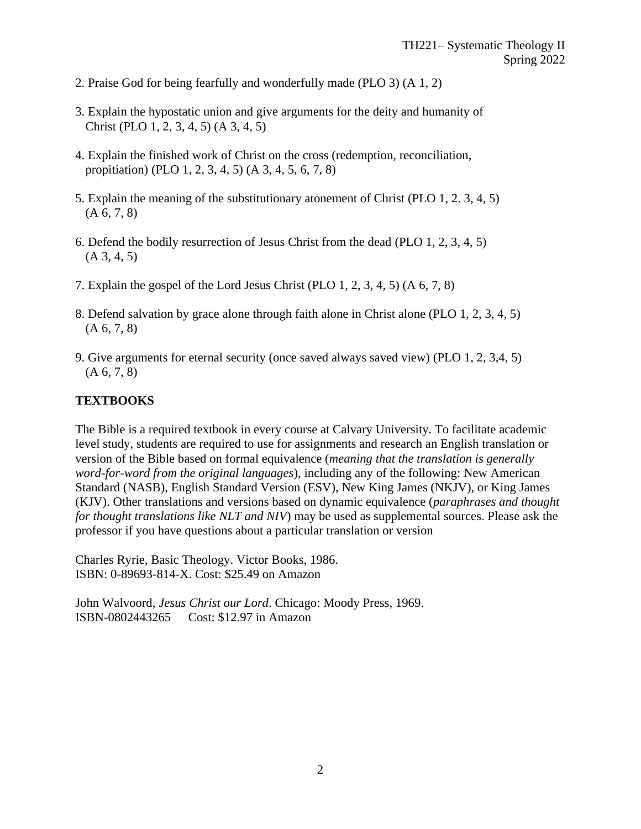- 2. Praise God for being fearfully and wonderfully made (PLO 3) (A 1, 2)
- 3. Explain the hypostatic union and give arguments for the deity and humanity of Christ (PLO 1, 2, 3, 4, 5) (A 3, 4, 5)
- 4. Explain the finished work of Christ on the cross (redemption, reconciliation, propitiation) (PLO 1, 2, 3, 4, 5) (A 3, 4, 5, 6, 7, 8)
- 5. Explain the meaning of the substitutionary atonement of Christ (PLO 1, 2. 3, 4, 5)  $(A 6, 7, 8)$
- 6. Defend the bodily resurrection of Jesus Christ from the dead (PLO 1, 2, 3, 4, 5)  $(A 3, 4, 5)$
- 7. Explain the gospel of the Lord Jesus Christ (PLO 1, 2, 3, 4, 5) (A 6, 7, 8)
- 8. Defend salvation by grace alone through faith alone in Christ alone (PLO 1, 2, 3, 4, 5)  $(A 6, 7, 8)$
- 9. Give arguments for eternal security (once saved always saved view) (PLO 1, 2, 3,4, 5)  $(A 6, 7, 8)$

# **TEXTBOOKS**

The Bible is a required textbook in every course at Calvary University. To facilitate academic level study, students are required to use for assignments and research an English translation or version of the Bible based on formal equivalence (*meaning that the translation is generally word-for-word from the original languages*), including any of the following: New American Standard (NASB), English Standard Version (ESV), New King James (NKJV), or King James (KJV). Other translations and versions based on dynamic equivalence (*paraphrases and thought for thought translations like NLT and NIV*) may be used as supplemental sources. Please ask the professor if you have questions about a particular translation or version

Charles Ryrie, Basic Theology. Victor Books, 1986. ISBN: 0-89693-814-X. Cost: \$25.49 on Amazon

John Walvoord, *Jesus Christ our Lord*. Chicago: Moody Press, 1969. ISBN-0802443265 Cost: \$12.97 in Amazon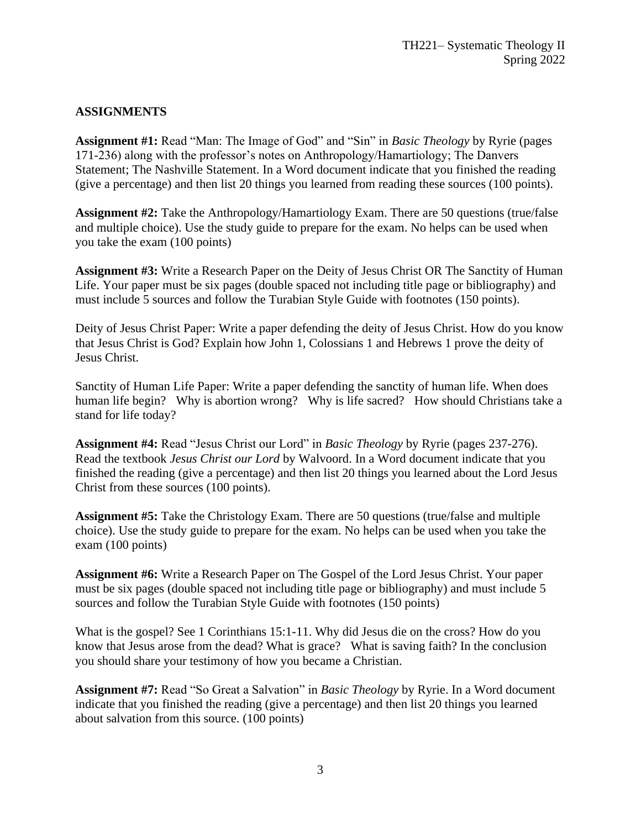#### **ASSIGNMENTS**

**Assignment #1:** Read "Man: The Image of God" and "Sin" in *Basic Theology* by Ryrie (pages 171-236) along with the professor's notes on Anthropology/Hamartiology; The Danvers Statement; The Nashville Statement. In a Word document indicate that you finished the reading (give a percentage) and then list 20 things you learned from reading these sources (100 points).

**Assignment #2:** Take the Anthropology/Hamartiology Exam. There are 50 questions (true/false and multiple choice). Use the study guide to prepare for the exam. No helps can be used when you take the exam (100 points)

**Assignment #3:** Write a Research Paper on the Deity of Jesus Christ OR The Sanctity of Human Life. Your paper must be six pages (double spaced not including title page or bibliography) and must include 5 sources and follow the Turabian Style Guide with footnotes (150 points).

Deity of Jesus Christ Paper: Write a paper defending the deity of Jesus Christ. How do you know that Jesus Christ is God? Explain how John 1, Colossians 1 and Hebrews 1 prove the deity of Jesus Christ.

Sanctity of Human Life Paper: Write a paper defending the sanctity of human life. When does human life begin? Why is abortion wrong? Why is life sacred? How should Christians take a stand for life today?

**Assignment #4:** Read "Jesus Christ our Lord" in *Basic Theology* by Ryrie (pages 237-276). Read the textbook *Jesus Christ our Lord* by Walvoord. In a Word document indicate that you finished the reading (give a percentage) and then list 20 things you learned about the Lord Jesus Christ from these sources (100 points).

**Assignment #5:** Take the Christology Exam. There are 50 questions (true/false and multiple choice). Use the study guide to prepare for the exam. No helps can be used when you take the exam (100 points)

**Assignment #6:** Write a Research Paper on The Gospel of the Lord Jesus Christ. Your paper must be six pages (double spaced not including title page or bibliography) and must include 5 sources and follow the Turabian Style Guide with footnotes (150 points)

What is the gospel? See 1 Corinthians 15:1-11. Why did Jesus die on the cross? How do you know that Jesus arose from the dead? What is grace? What is saving faith? In the conclusion you should share your testimony of how you became a Christian.

**Assignment #7:** Read "So Great a Salvation" in *Basic Theology* by Ryrie. In a Word document indicate that you finished the reading (give a percentage) and then list 20 things you learned about salvation from this source. (100 points)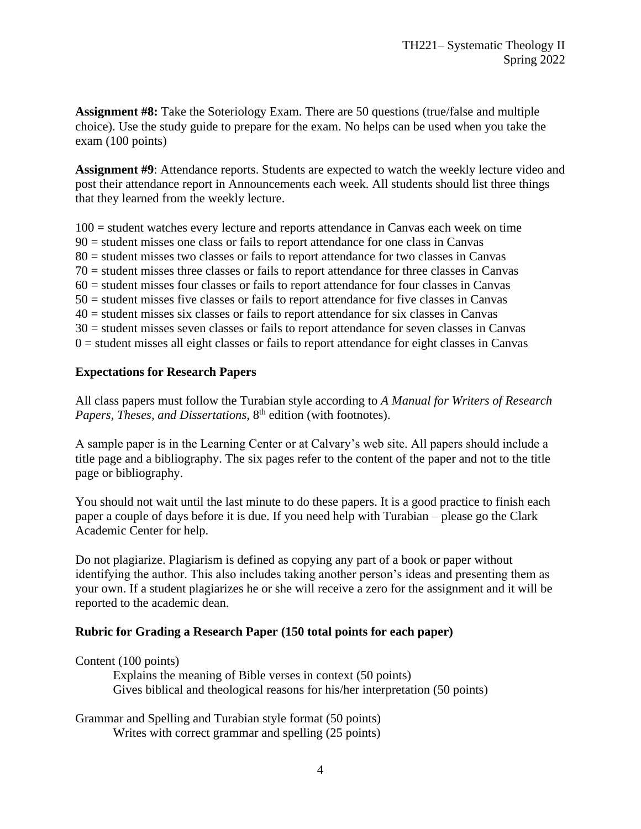**Assignment #8:** Take the Soteriology Exam. There are 50 questions (true/false and multiple choice). Use the study guide to prepare for the exam. No helps can be used when you take the exam (100 points)

**Assignment #9**: Attendance reports. Students are expected to watch the weekly lecture video and post their attendance report in Announcements each week. All students should list three things that they learned from the weekly lecture.

100 = student watches every lecture and reports attendance in Canvas each week on time 90 = student misses one class or fails to report attendance for one class in Canvas 80 = student misses two classes or fails to report attendance for two classes in Canvas 70 = student misses three classes or fails to report attendance for three classes in Canvas  $60$  = student misses four classes or fails to report attendance for four classes in Canvas 50 = student misses five classes or fails to report attendance for five classes in Canvas 40 = student misses six classes or fails to report attendance for six classes in Canvas 30 = student misses seven classes or fails to report attendance for seven classes in Canvas  $0 =$  student misses all eight classes or fails to report attendance for eight classes in Canvas

#### **Expectations for Research Papers**

All class papers must follow the Turabian style according to *A Manual for Writers of Research*  Papers, Theses, and Dissertations, 8<sup>th</sup> edition (with footnotes).

A sample paper is in the Learning Center or at Calvary's web site. All papers should include a title page and a bibliography. The six pages refer to the content of the paper and not to the title page or bibliography.

You should not wait until the last minute to do these papers. It is a good practice to finish each paper a couple of days before it is due. If you need help with Turabian – please go the Clark Academic Center for help.

Do not plagiarize. Plagiarism is defined as copying any part of a book or paper without identifying the author. This also includes taking another person's ideas and presenting them as your own. If a student plagiarizes he or she will receive a zero for the assignment and it will be reported to the academic dean.

# **Rubric for Grading a Research Paper (150 total points for each paper)**

Content (100 points)

Explains the meaning of Bible verses in context (50 points) Gives biblical and theological reasons for his/her interpretation (50 points)

Grammar and Spelling and Turabian style format (50 points) Writes with correct grammar and spelling (25 points)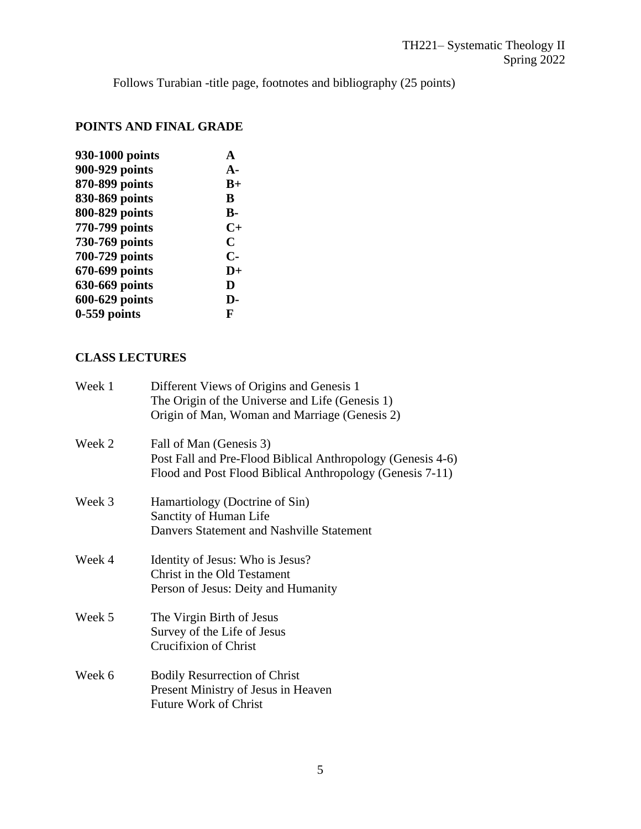Follows Turabian -title page, footnotes and bibliography (25 points)

# **POINTS AND FINAL GRADE**

| 930-1000 points | A             |
|-----------------|---------------|
| 900-929 points  | $A-$          |
| 870-899 points  | $B+$          |
| 830-869 points  | B             |
| 800-829 points  | <b>B-</b>     |
| 770-799 points  | $C+$          |
| 730-769 points  | C             |
| 700-729 points  | $\mathbf{C}$  |
| 670-699 points  | $\mathbf{D}+$ |
| 630-669 points  | D             |
| 600-629 points  | D-            |
| $0-559$ points  | F             |
|                 |               |

# **CLASS LECTURES**

| Week 1 | Different Views of Origins and Genesis 1<br>The Origin of the Universe and Life (Genesis 1)<br>Origin of Man, Woman and Marriage (Genesis 2)        |
|--------|-----------------------------------------------------------------------------------------------------------------------------------------------------|
| Week 2 | Fall of Man (Genesis 3)<br>Post Fall and Pre-Flood Biblical Anthropology (Genesis 4-6)<br>Flood and Post Flood Biblical Anthropology (Genesis 7-11) |
| Week 3 | Hamartiology (Doctrine of Sin)<br>Sanctity of Human Life<br>Danvers Statement and Nashville Statement                                               |
| Week 4 | Identity of Jesus: Who is Jesus?<br>Christ in the Old Testament<br>Person of Jesus: Deity and Humanity                                              |
| Week 5 | The Virgin Birth of Jesus<br>Survey of the Life of Jesus<br><b>Crucifixion of Christ</b>                                                            |
| Week 6 | <b>Bodily Resurrection of Christ</b><br>Present Ministry of Jesus in Heaven<br><b>Future Work of Christ</b>                                         |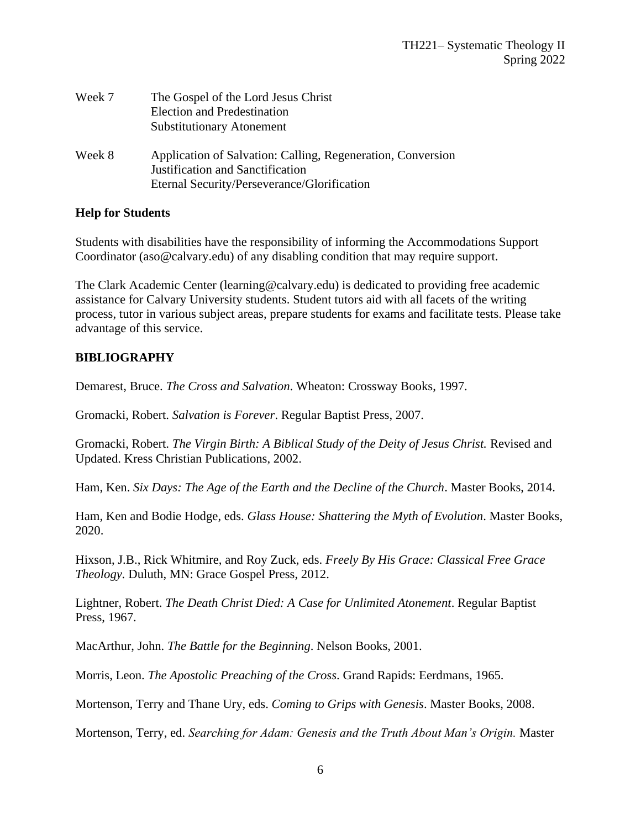| Week 7 | The Gospel of the Lord Jesus Christ<br><b>Election and Predestination</b><br><b>Substitutionary Atonement</b>                                  |
|--------|------------------------------------------------------------------------------------------------------------------------------------------------|
| Week 8 | Application of Salvation: Calling, Regeneration, Conversion<br>Justification and Sanctification<br>Eternal Security/Perseverance/Glorification |

#### **Help for Students**

Students with disabilities have the responsibility of informing the Accommodations Support Coordinator [\(aso@calvary.edu\)](mailto:aso@calvary.edu) of any disabling condition that may require support.

The Clark Academic Center [\(learning@calvary.edu\)](mailto:learning@calvary.edu) is dedicated to providing free academic assistance for Calvary University students. Student tutors aid with all facets of the writing process, tutor in various subject areas, prepare students for exams and facilitate tests. Please take advantage of this service.

# **BIBLIOGRAPHY**

Demarest, Bruce. *The Cross and Salvation*. Wheaton: Crossway Books, 1997.

Gromacki, Robert. *Salvation is Forever*. Regular Baptist Press, 2007.

Gromacki, Robert. *The Virgin Birth: A Biblical Study of the Deity of Jesus Christ.* Revised and Updated. Kress Christian Publications, 2002.

Ham, Ken. *Six Days: The Age of the Earth and the Decline of the Church*. Master Books, 2014.

Ham, Ken and Bodie Hodge, eds. *Glass House: Shattering the Myth of Evolution*. Master Books, 2020.

Hixson, J.B., Rick Whitmire, and Roy Zuck, eds. *Freely By His Grace: Classical Free Grace Theology.* Duluth, MN: Grace Gospel Press, 2012.

Lightner, Robert. *The Death Christ Died: A Case for Unlimited Atonement*. Regular Baptist Press, 1967.

MacArthur, John. *The Battle for the Beginning*. Nelson Books, 2001.

Morris, Leon. *The Apostolic Preaching of the Cross*. Grand Rapids: Eerdmans, 1965.

Mortenson, Terry and Thane Ury, eds. *Coming to Grips with Genesis*. Master Books, 2008.

Mortenson, Terry, ed. *Searching for Adam: Genesis and the Truth About Man's Origin.* Master